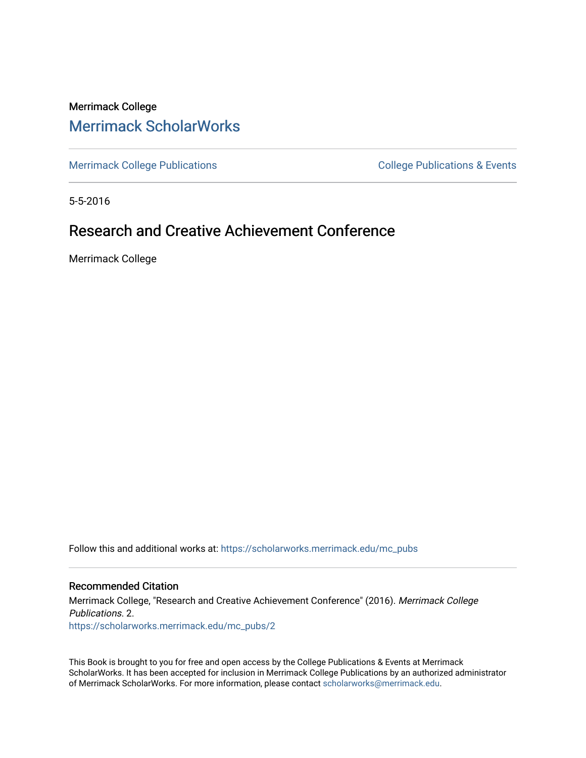## Merrimack College [Merrimack ScholarWorks](https://scholarworks.merrimack.edu/)

[Merrimack College Publications](https://scholarworks.merrimack.edu/mc_pubs) **College Publications** College Publications & Events

5-5-2016

## Research and Creative Achievement Conference

Merrimack College

Follow this and additional works at: [https://scholarworks.merrimack.edu/mc\\_pubs](https://scholarworks.merrimack.edu/mc_pubs?utm_source=scholarworks.merrimack.edu%2Fmc_pubs%2F2&utm_medium=PDF&utm_campaign=PDFCoverPages) 

## Recommended Citation

Merrimack College, "Research and Creative Achievement Conference" (2016). Merrimack College Publications. 2. [https://scholarworks.merrimack.edu/mc\\_pubs/2](https://scholarworks.merrimack.edu/mc_pubs/2?utm_source=scholarworks.merrimack.edu%2Fmc_pubs%2F2&utm_medium=PDF&utm_campaign=PDFCoverPages) 

This Book is brought to you for free and open access by the College Publications & Events at Merrimack ScholarWorks. It has been accepted for inclusion in Merrimack College Publications by an authorized administrator of Merrimack ScholarWorks. For more information, please contact [scholarworks@merrimack.edu.](mailto:scholarworks@merrimack.edu)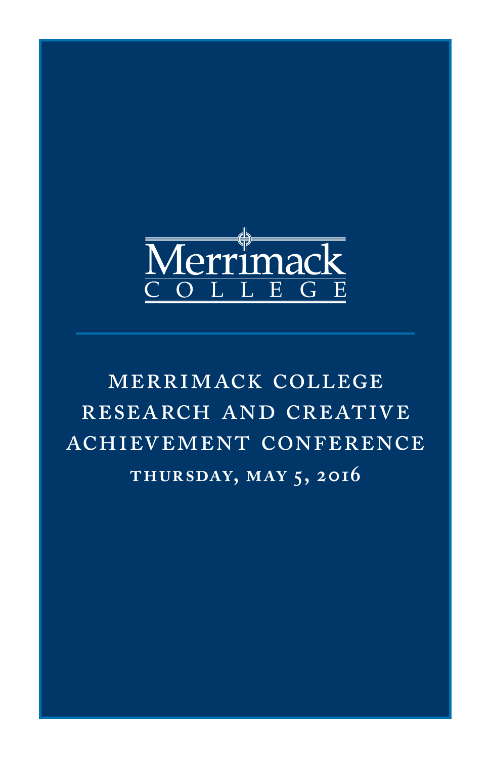

# merrimack college research and creative achievement conference **thursday, may 5, 2016**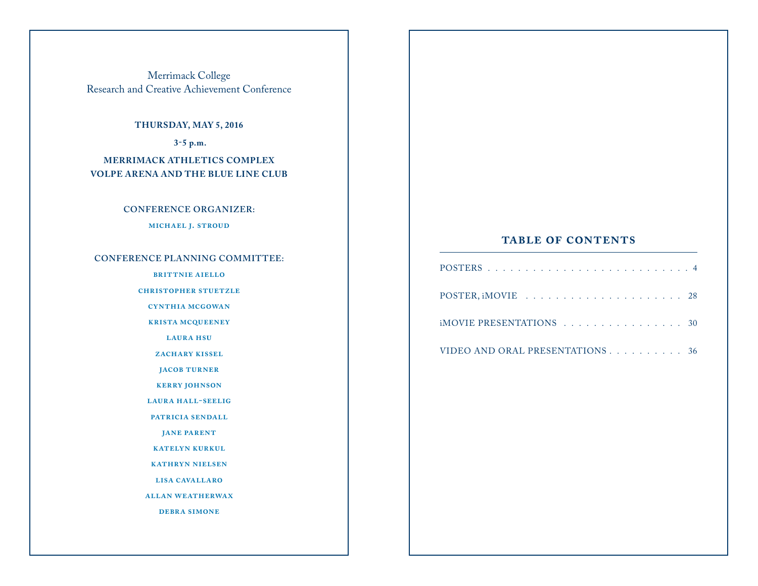Merrimack College Research and Creative Achievement Conference

## **THURSDAY, MAY 5, 2016**

 **3-5 p.m.**

**MERRIMACK ATHLETICS COMPLEX VOLPE ARENA AND THE BLUE LINE CLUB**

## **CONFERENCE ORGANIZER:**

**michael j. stroud**

## **CONFERENCE PLANNING COMMITTEE:**

**brittnie aiello**

#### **christopher stuetzle**

**cynthia mcgowan**

**krista mcqueeney**

**laura hsu**

*ZACHARY KISSEL* 

**jacob turner**

**kerry johnson**

**laura hall-seelig**

**patricia sendall**

**jane parent**

**katelyn kurkul**

**kathryn nielsen**

**lisa cavallaro**

**allan weatherwax**

**debra simone**

## **table of contents**

| iMOVIE PRESENTATIONS 30         |  |
|---------------------------------|--|
| VIDEO AND ORAL PRESENTATIONS 36 |  |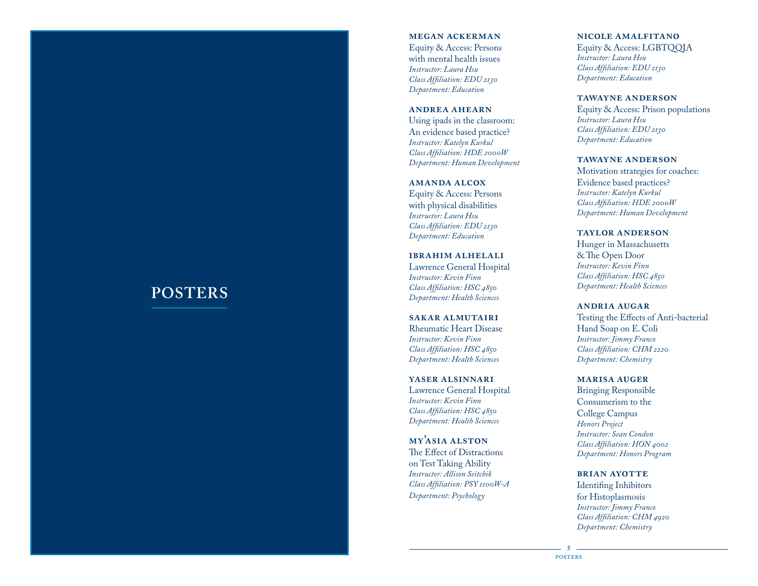## **POSTERS**

#### **megan ackerman**

Equity & Access: Persons with mental health issues *Instructor: Laura Hsu Class Affiliation: EDU 2130 Department: Education*

#### **andrea ahearn**

Using ipads in the classroom: An evidence based practice? *Instructor: Katelyn Kurkul Class Affiliation: HDE 2000W Department: Human Development*

#### **amanda alcox**

Equity & Access: Persons with physical disabilities *Instructor: Laura Hsu Class Affiliation: EDU 2130 Department: Education*

**ibrahim alhelali** Lawrence General Hospital *Instructor: Kevin Finn Class Affiliation: HSC 4850 Department: Health Sciences*

#### **sakar almutairi** Rheumatic Heart Disease

*Instructor: Kevin Finn Class Affiliation: HSC 4850 Department: Health Sciences*

**yaser alsinnari**

Lawrence General Hospital *Instructor: Kevin Finn Class Affiliation: HSC 4850 Department: Health Sciences*

**my'asia alston** The Effect of Distractions on Test Taking Ability *Instructor: Allison Seitchik Class Affiliation: PSY 1100W-A Department: Psychology*

#### **nicole amalfitano**

Equity & Access: LGBTQQIA *Instructor: Laura Hsu Class Affiliation: EDU 2130 Department: Education*

#### **tawayne anderson**

Equity & Access: Prison populations *Instructor: Laura Hsu Class Affiliation: EDU 2130 Department: Education*

#### **tawayne anderson**

Motivation strategies for coaches: Evidence based practices? *Instructor: Katelyn Kurkul Class Affiliation: HDE 2000W Department: Human Development*

**taylor anderson**

Hunger in Massachusetts & The Open Door *Instructor: Kevin Finn Class Affiliation: HSC 4850 Department: Health Sciences*

#### **andria augar**

Testing the Effects of Anti-bacterial Hand Soap on E . Coli *Instructor: Jimmy Franco Class Affiliation: CHM 2220 Department: Chemistry*

**marisa auger**

Bringing Responsible Consumerism to the College Campus *Honors Project Instructor: Sean Condon Class Affiliation: HON 4002 Department: Honors Program*

**brian ayotte** Identifing Inhibitors

for Histoplasmosis *Instructor: Jimmy Franco Class Affiliation: CHM 4920 Department: Chemistry*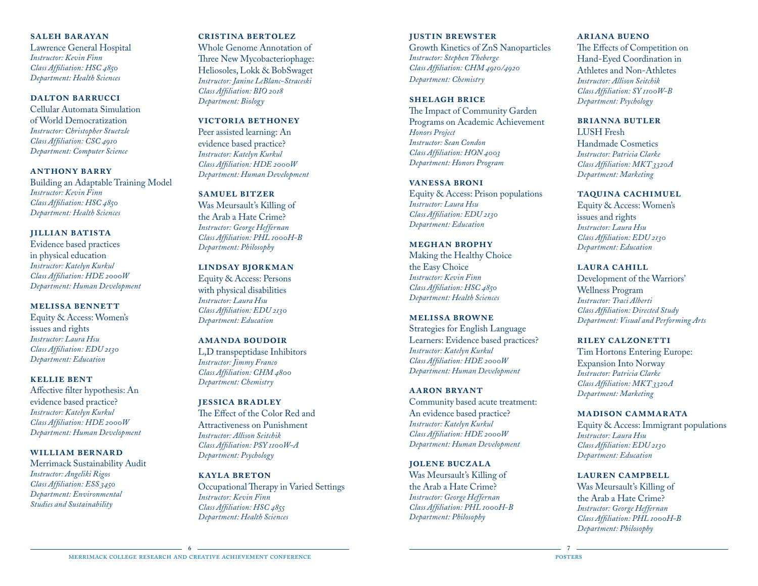## **saleh barayan**

Lawrence General Hospital *Instructor: Kevin Finn Class Affiliation: HSC 4850 Department: Health Sciences*

## **dalton barrucci**

Cellular Automata Simulation of World Democratization *Instructor: Christopher Stuetzle Class Affiliation: CSC 4910 Department: Computer Science*

#### **anthony barry**

Building an Adaptable Training Model *Instructor: Kevin Finn Class Affiliation: HSC 4850 Department: Health Sciences*

#### **jillian batista**

Evidence based practices in physical education *Instructor: Katelyn Kurkul Class Affiliation: HDE 2000W Department: Human Development*

#### **melissa bennett**

Equity & Access: Women's issues and rights *Instructor: Laura Hsu Class Affiliation: EDU 2130 Department: Education*

#### **kellie bent**

Affective filter hypothesis: An evidence based practice? *Instructor: Katelyn Kurkul Class Affiliation: HDE 2000W Department: Human Development*

#### **william bernard**

Merrimack Sustainability Audit *Instructor: Angeliki Rigos Class Affiliation: ESS 3450 Department: Environmental Studies and Sustainability*

#### **cristina bertolez**

Whole Genome Annotation of Three New Mycobacteriophage: Heliosoles, Lokk & BobSwaget *Instructor: Janine LeBlanc-Straceski Class Affiliation: BIO 2018 Department: Biology*

## **victoria bethoney**

Peer assisted learning: An evidence based practice? *Instructor: Katelyn Kurkul Class Affiliation: HDE 2000W Department: Human Development*

#### **samuel bitzer**

Was Meursault's Killing of the Arab a Hate Crime? *Instructor: George Heffernan Class Affiliation: PHL 1000H-B Department: Philosophy*

## **lindsay bjorkman**

Equity & Access: Persons with physical disabilities *Instructor: Laura Hsu Class Affiliation: EDU 2130 Department: Education*

## **amanda boudoir**

L,D transpeptidase Inhibitors *Instructor: Jimmy Franco Class Affiliation: CHM 4800 Department: Chemistry*

#### **jessica bradley**

The Effect of the Color Red and Attractiveness on Punishment *Instructor: Allison Seitchik Class Affiliation: PSY 1100W-A Department: Psychology*

#### **kayla breton**

Occupational Therapy in Varied Settings *Instructor: Kevin Finn Class Affiliation: HSC 4855 Department: Health Sciences*

#### **justin brewster**

Growth Kinetics of ZnS Nanoparticles *Instructor: Stephen Theberge Class Affiliation: CHM 4910/4920 Department: Chemistry* 

## **shelagh brice**

The Impact of Community Garden Programs on Academic Achievement *Honors Project Instructor: Sean Condon Class Affiliation: HON 4003 Department: Honors Program*

#### **vanessa broni**

Equity & Access: Prison populations *Instructor: Laura Hsu Class Affiliation: EDU 2130 Department: Education*

#### **meghan brophy**

Making the Healthy Choice the Easy Choice *Instructor: Kevin Finn Class Affiliation: HSC 4850 Department: Health Sciences*

#### **melissa browne**

Strategies for English Language Learners: Evidence based practices? *Instructor: Katelyn Kurkul Class Affiliation: HDE 2000W Department: Human Development*

#### **aaron bryant**

Community based acute treatment: An evidence based practice? *Instructor: Katelyn Kurkul Class Affiliation: HDE 2000W Department: Human Development*

## **jolene buczala**

Was Meursault's Killing of the Arab a Hate Crime? *Instructor: George Heffernan Class Affiliation: PHL 1000H-B Department: Philosophy*

## **ariana bueno**

The Effects of Competition on Hand-Eyed Coordination in Athletes and Non-Athletes *Instructor: Allison Seitchik Class Affiliation: SY 1100W-B Department: Psychology*

## **brianna butler**

LUSH Fresh Handmade Cosmetics *Instructor: Patricia Clarke Class Affiliation: MKT 3320A Department: Marketing*

#### **taquina cachimuel**

Equity & Access: Women's issues and rights *Instructor: Laura Hsu Class Affiliation: EDU 2130 Department: Education*

#### **laura cahill**

Development of the Warriors' Wellness Program *Instructor: Traci Alberti Class Affiliation: Directed Study Department: Visual and Performing Arts*

#### **riley calzonetti**

Tim Hortons Entering Europe: Expansion Into Norway *Instructor: Patricia Clarke Class Affiliation: MKT 3320A Department: Marketing*

#### **madison cammarata**

Equity & Access: Immigrant populations *Instructor: Laura Hsu Class Affiliation: EDU 2130 Department: Education*

#### **lauren campbell**

Was Meursault's Killing of the Arab a Hate Crime? *Instructor: George Heffernan Class Affiliation: PHL 1000H-B Department: Philosophy*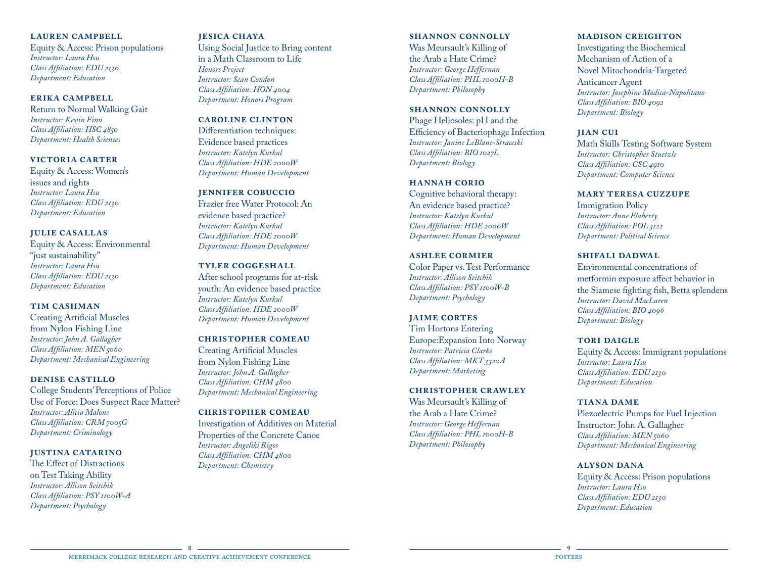## **lauren campbell**

Equity & Access: Prison populations *Instructor: Laura Hsu Class Affiliation: EDU 2130 Department: Education*

## **erika campbell**

Return to Normal Walking Gait *Instructor: Kevin Finn Class Affiliation: HSC 4850 Department: Health Sciences*

## **victoria carter**

Equity & Access: Women's issues and rights *Instructor: Laura Hsu Class Affiliation: EDU 2130 Department: Education*

## **julie casallas**

Equity & Access: Environmental "just sustainability" *Instructor: Laura Hsu Class Affiliation: EDU 2130 Department: Education*

## **tim cashman**

Creating Artificial Muscles from Nylon Fishing Line *Instructor: John A. Gallagher Class Affiliation: MEN 5060 Department: Mechanical Engineering*

## **denise castillo**

College Students' Perceptions of Police Use of Force: Does Suspect Race Matter? *Instructor: Alicia Malone Class Affiliation: CRM 7005G Department: Criminology*

## **justina catarino**

The Effect of Distractions on Test Taking Ability *Instructor: Allison Seitchik Class Affiliation: PSY 1100W-A Department: Psychology*

## **jesica chaya**

Using Social Justice to Bring content in a Math Classroom to Life *Honors Project Instructor: Sean Condon Class Affiliation: HON 4004 Department: Honors Program*

## **caroline clinton**

Differentiation techniques: Evidence based practices *Instructor: Katelyn Kurkul Class Affiliation: HDE 2000W Department: Human Development*

## **jennifer cobuccio**

Frazier free Water Protocol: An evidence based practice? *Instructor: Katelyn Kurkul Class Affiliation: HDE 2000W Department: Human Development*

## **tyler coggeshall**

After school programs for at-risk youth: An evidence based practice *Instructor: Katelyn Kurkul Class Affiliation: HDE 2000W Department: Human Development*

## **christopher comeau**

Creating Artificial Muscles from Nylon Fishing Line *Instructor: John A. Gallagher Class Affiliation: CHM 4800 Department: Mechanical Engineering*

## **christopher comeau**

Investigation of Additives on Material Properties of the Concrete Canoe *Instructor: Angeliki Rigos Class Affiliation: CHM 4800 Department: Chemistry*

## **shannon connolly**

Was Meursault's Killing of the Arab a Hate Crime? *Instructor: George Heffernan Class Affiliation: PHL 1000H-B Department: Philosophy*

## **shannon connolly**

Phage Heliosoles: pH and the Efficiency of Bacteriophage Infection *Instructor: Janine LeBlanc-Straceski Class Affiliation: BIO 1027L Department: Biology*

## **hannah corio**

Cognitive behavioral therapy: An evidence based practice? *Instructor: Katelyn Kurkul Class Affiliation: HDE 2000W Department: Human Development*

## **ashlee cormier**

Color Paper vs. Test Performance *Instructor: Allison Seitchik Class Affiliation: PSY 1100W-B Department: Psychology*

## **jaime cortes**

Tim Hortons Entering Europe:Expansion Into Norway *Instructor: Patricia Clarke Class Affiliation: MKT 3320A Department: Marketing*

## **christopher crawley**

Was Meursault's Killing of the Arab a Hate Crime? *Instructor: George Heffernan Class Affiliation: PHL 1000H-B Department: Philosophy*

## **madison creighton**

Investigating the Biochemical Mechanism of Action of a Novel Mitochondria-Targeted Anticancer Agent *Instructor: Josephine Modica-Napolitano Class Affiliation: BIO 4092 Department: Biology*

## **jian cui**

Math Skills Testing Software System *Instructor: Christopher Stuetzle Class Affiliation: CSC 4910 Department: Computer Science*

## **mary teresa cuzzupe**

Immigration Policy *Instructor: Anne Flaherty Class Affiliation: POL 3122 Department: Political Science*

## **shifali dadwal**

Environmental concentrations of metformin exposure affect behavior in the Siamese fighting fish, Betta splendens *Instructor: David MacLaren Class Affiliation: BIO 4096 Department: Biology*

## **TORI DAIGLE**

Equity & Access: Immigrant populations *Instructor: Laura Hsu Class Affiliation: EDU 2130 Department: Education*

## **tiana dame**

Piezoelectric Pumps for Fuel Injection Instructor: John A. Gallagher *Class Affiliation: MEN 5060 Department: Mechanical Engineering*

## **alyson dana**

Equity & Access: Prison populations *Instructor: Laura Hsu Class Affiliation: EDU 2130 Department: Education*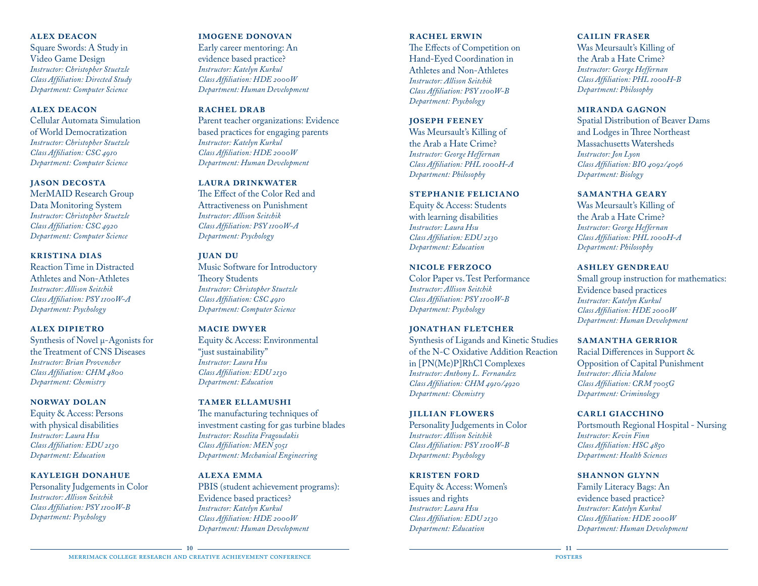### **alex deacon**

Square Swords: A Study in Video Game Design *Instructor: Christopher Stuetzle Class Affiliation: Directed Study Department: Computer Science*

#### **alex deacon**

Cellular Automata Simulation of World Democratization *Instructor: Christopher Stuetzle Class Affiliation: CSC 4910 Department: Computer Science*

#### **jason decosta**

MerMAID Research Group Data Monitoring System *Instructor: Christopher Stuetzle Class Affiliation: CSC 4920 Department: Computer Science*

#### **kristina dias**

Reaction Time in Distracted Athletes and Non-Athletes *Instructor: Allison Seitchik Class Affiliation: PSY 1100W-A Department: Psychology*

#### **alex dipietro**

Synthesis of Novel μ-Agonists for the Treatment of CNS Diseases *Instructor: Brian Provencher Class Affiliation: CHM 4800 Department: Chemistry*

#### **norway dolan**

Equity & Access: Persons with physical disabilities *Instructor: Laura Hsu Class Affiliation: EDU 2130 Department: Education*

## **kayleigh donahue**

Personality Judgements in Color *Instructor: Allison Seitchik Class Affiliation: PSY 1100W-B Department: Psychology*

#### **imogene donovan**

Early career mentoring: An evidence based practice? *Instructor: Katelyn Kurkul Class Affiliation: HDE 2000W Department: Human Development*

#### **rachel drab**

Parent teacher organizations: Evidence based practices for engaging parents *Instructor: Katelyn Kurkul Class Affiliation: HDE 2000W Department: Human Development*

#### **laura drinkwater**

The Effect of the Color Red and Attractiveness on Punishment *Instructor: Allison Seitchik Class Affiliation: PSY 1100W-A Department: Psychology*

#### **juan du**

Music Software for Introductory Theory Students *Instructor: Christopher Stuetzle Class Affiliation: CSC 4910 Department: Computer Science*

## **macie dwyer**

Equity & Access: Environmental "just sustainability" *Instructor: Laura Hsu Class Affiliation: EDU 2130 Department: Education*

#### **tamer ellamushi**

The manufacturing techniques of investment casting for gas turbine blades *Instructor: Roselita Fragoudakis Class Affiliation: MEN 5051 Department: Mechanical Engineering*

## **alexa emma**

PBIS (student achievement programs): Evidence based practices? *Instructor: Katelyn Kurkul Class Affiliation: HDE 2000W Department: Human Development*

### **rachel erwin**

The Effects of Competition on Hand-Eyed Coordination in Athletes and Non-Athletes *Instructor: Allison Seitchik Class Affiliation: PSY 1100W-B Department: Psychology*

#### **joseph feeney**

Was Meursault's Killing of the Arab a Hate Crime? *Instructor: George Heffernan Class Affiliation: PHL 1000H-A Department: Philosophy*

#### **stephanie feliciano**

Equity & Access: Students with learning disabilities *Instructor: Laura Hsu Class Affiliation: EDU 2130 Department: Education*

#### **nicole ferzoco**

Color Paper vs. Test Performance *Instructor: Allison Seitchik Class Affiliation: PSY 1100W-B Department: Psychology*

#### **jonathan fletcher**

Synthesis of Ligands and Kinetic Studies of the N-C Oxidative Addition Reaction in [PN(Me)P]RhCl Complexes *Instructor: Anthony L. Fernandez Class Affiliation: CHM 4910/4920 Department: Chemistry*

#### **jillian flowers**

Personality Judgements in Color *Instructor: Allison Seitchik Class Affiliation: PSY 1100W-B Department: Psychology*

#### **kristen ford**

Equity & Access: Women's issues and rights *Instructor: Laura Hsu Class Affiliation: EDU 2130 Department: Education*

## **cailin fraser**

Was Meursault's Killing of the Arab a Hate Crime? *Instructor: George Heffernan Class Affiliation: PHL 1000H-B Department: Philosophy*

#### **miranda gagnon**

Spatial Distribution of Beaver Dams and Lodges in Three Northeast Massachusetts Watersheds *Instructor: Jon Lyon Class Affiliation: BIO 4092/4096 Department: Biology*

#### **samantha geary**

Was Meursault's Killing of the Arab a Hate Crime? *Instructor: George Heffernan Class Affiliation: PHL 1000H-A Department: Philosophy* 

#### **ashley gendreau**

Small group instruction for mathematics: Evidence based practices *Instructor: Katelyn Kurkul Class Affiliation: HDE 2000W Department: Human Development*

#### **samantha gerrior**

Racial Differences in Support & Opposition of Capital Punishment *Instructor: Alicia Malone Class Affiliation: CRM 7005G Department: Criminology*

### **carli giacchino**

Portsmouth Regional Hospital - Nursing *Instructor: Kevin Finn Class Affiliation: HSC 4850 Department: Health Sciences*

#### **shannon glynn**

Family Literacy Bags: An evidence based practice? *Instructor: Katelyn Kurkul Class Affiliation: HDE 2000W Department: Human Development*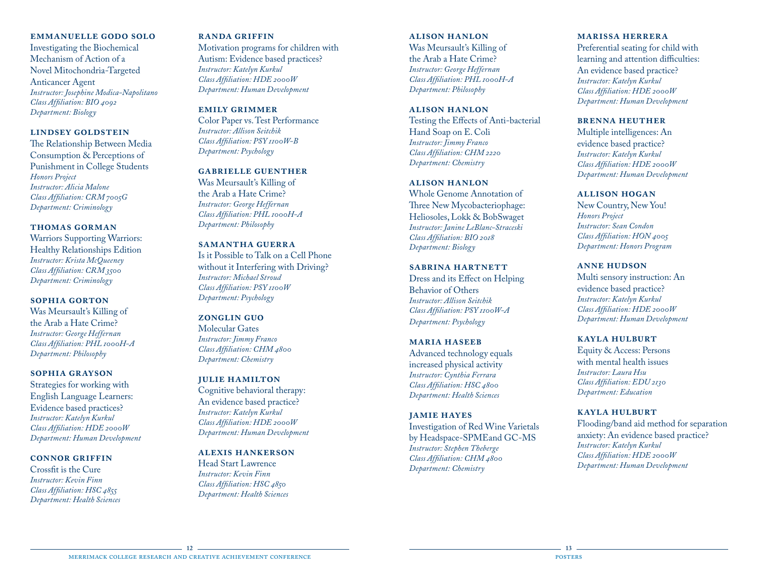#### **emmanuelle godo solo**

Investigating the Biochemical Mechanism of Action of a Novel Mitochondria-Targeted Anticancer Agent *Instructor: Josephine Modica-Napolitano Class Affiliation: BIO 4092 Department: Biology*

## **lindsey goldstein**

The Relationship Between Media Consumption & Perceptions of Punishment in College Students *Honors Project Instructor: Alicia Malone Class Affiliation: CRM 7005G Department: Criminology*

### **thomas gorman**

Warriors Supporting Warriors: Healthy Relationships Edition *Instructor: Krista McQueeney Class Affiliation: CRM 3500 Department: Criminology*

#### **sophia gorton**

Was Meursault's Killing of the Arab a Hate Crime? *Instructor: George Heffernan Class Affiliation: PHL 1000H-A Department: Philosophy*

#### **sophia grayson**

Strategies for working with English Language Learners: Evidence based practices? *Instructor: Katelyn Kurkul Class Affiliation: HDE 2000W Department: Human Development*

#### **connor griffin**

Crossfit is the Cure *Instructor: Kevin Finn Class Affiliation: HSC 4855 Department: Health Sciences*

#### **randa griffin**

Motivation programs for children with Autism: Evidence based practices? *Instructor: Katelyn Kurkul Class Affiliation: HDE 2000W Department: Human Development*

#### **emily grimmer**

Color Paper vs. Test Performance *Instructor: Allison Seitchik Class Affiliation: PSY 1100W-B Department: Psychology*

## **gabrielle guenther**

Was Meursault's Killing of the Arab a Hate Crime? *Instructor: George Heffernan Class Affiliation: PHL 1000H-A Department: Philosophy*

## **samantha guerra**

Is it Possible to Talk on a Cell Phone without it Interfering with Driving? *Instructor: Michael Stroud Class Affiliation: PSY 1100W Department: Psychology*

#### **zonglin guo**

Molecular Gates *Instructor: Jimmy Franco Class Affiliation: CHM 4800 Department: Chemistry*

## **julie hamilton**

Cognitive behavioral therapy: An evidence based practice? *Instructor: Katelyn Kurkul Class Affiliation: HDE 2000W Department: Human Development*

## **alexis hankerson**

Head Start Lawrence *Instructor: Kevin Finn Class Affiliation: HSC 4850 Department: Health Sciences*

## **alison hanlon** Was Meursault's Killing of the Arab a Hate Crime? *Instructor: George Heffernan Class Affiliation: PHL 1000H-A Department: Philosophy*

## **alison hanlon** Testing the Effects of Anti-bacterial Hand Soap on E. Coli *Instructor: Jimmy Franco Class Affiliation: CHM 2220*

## *Department: Chemistry* **alison hanlon**

Whole Genome Annotation of Three New Mycobacteriophage: Heliosoles, Lokk & BobSwaget *Instructor: Janine LeBlanc-Straceski Class Affiliation: BIO 2018 Department: Biology*

#### **SABRINA HARTNETT**

Dress and its Effect on Helping Behavior of Others *Instructor: Allison Seitchik Class Affiliation: PSY 1100W-A Department: Psychology*

## **maria haseeb**

Advanced technology equals increased physical activity *Instructor: Cynthia Ferrara Class Affiliation: HSC 4800 Department: Health Sciences*

### **jamie hayes**

Investigation of Red Wine Varietals by Headspace-SPMEand GC-MS *Instructor: Stephen Theberge Class Affiliation: CHM 4800 Department: Chemistry*

### **marissa herrera**

Preferential seating for child with learning and attention difficulties: An evidence based practice? *Instructor: Katelyn Kurkul Class Affiliation: HDE 2000W Department: Human Development*

#### **brenna heuther**

Multiple intelligences: An evidence based practice? *Instructor: Katelyn Kurkul Class Affiliation: HDE 2000W Department: Human Development*

#### **allison hogan**

New Country, New You! *Honors Project Instructor: Sean Condon Class Affiliation: HON 4005 Department: Honors Program*

#### **anne hudson**

Multi sensory instruction: An evidence based practice? *Instructor: Katelyn Kurkul Class Affiliation: HDE 2000W Department: Human Development*

#### **kayla hulburt**

Equity & Access: Persons with mental health issues *Instructor: Laura Hsu Class Affiliation: EDU 2130 Department: Education*

### **kayla hulburt**

Flooding/band aid method for separation anxiety: An evidence based practice? *Instructor: Katelyn Kurkul Class Affiliation: HDE 2000W Department: Human Development*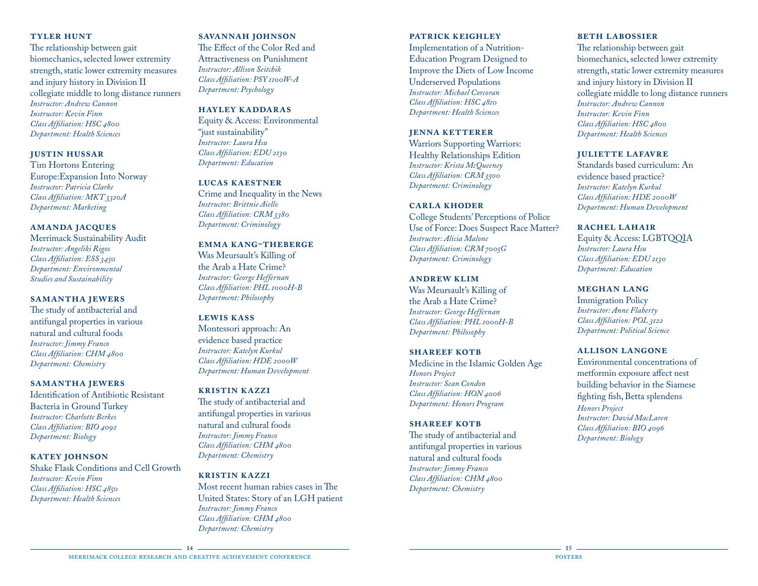## **tyler hunt**

The relationship between gait biomechanics, selected lower extremity strength, static lower extremity measures and injury history in Division II collegiate middle to long distance runners *Instructor: Andrew Cannon Instructor: Kevin Finn Class Affiliation: HSC 4800 Department: Health Sciences*

## **justin hussar**

Tim Hortons Entering Europe:Expansion Into Norway *Instructor: Patricia Clarke Class Affiliation: MKT 3320A Department: Marketing*

## **amanda jacques**

Merrimack Sustainability Audit *Instructor: Angeliki Rigos Class Affiliation: ESS 3450 Department: Environmental Studies and Sustainability*

## **samantha jewers**

The study of antibacterial and antifungal properties in various natural and cultural foods *Instructor: Jimmy Franco Class Affiliation: CHM 4800 Department: Chemistry*

## **samantha jewers**

Identification of Antibiotic Resistant Bacteria in Ground Turkey *Instructor: Charlotte Berkes Class Affiliation: BIO 4092 Department: Biology*

#### **katey johnson**

Shake Flask Conditions and Cell Growth *Instructor: Kevin Finn Class Affiliation: HSC 4850 Department: Health Sciences*

## **savannah johnson**

The Effect of the Color Red and Attractiveness on Punishment *Instructor: Allison Seitchik Class Affiliation: PSY 1100W-A Department: Psychology*

#### **hayley kaddaras**

Equity & Access: Environmental "just sustainability" *Instructor: Laura Hsu Class Affiliation: EDU 2130 Department: Education*

#### **lucas kaestner**

Crime and Inequality in the News *Instructor: Brittnie Aiello Class Affiliation: CRM 3380 Department: Criminology*

## **emma kang-theberge**

Was Meursault's Killing of the Arab a Hate Crime? *Instructor: George Heffernan Class Affiliation: PHL 1000H-B Department: Philosophy*

## **lewis kass**

Montessori approach: An evidence based practice *Instructor: Katelyn Kurkul Class Affiliation: HDE 2000W Department: Human Development*

#### **kristin kazzi**

The study of antibacterial and antifungal properties in various natural and cultural foods *Instructor: Jimmy Franco Class Affiliation: CHM 4800 Department: Chemistry*

## **kristin kazzi**

Most recent human rabies cases in The United States: Story of an LGH patient *Instructor: Jimmy Franco Class Affiliation: CHM 4800 Department: Chemistry*

## **patrick keighley**

Implementation of a Nutrition‐ Education Program Designed to Improve the Diets of Low Income Underserved Populations *Instructor: Michael Corcoran Class Affiliation: HSC 4810 Department: Health Sciences*

#### **jenna ketterer**

Warriors Supporting Warriors: Healthy Relationships Edition *Instructor: Krista McQueeney Class Affiliation: CRM 3500 Department: Criminology*

#### **carla khoder**

College Students' Perceptions of Police Use of Force: Does Suspect Race Matter? *Instructor: Alicia Malone Class Affiliation: CRM 7005G Department: Criminology*

#### **andrew klim**

Was Meursault's Killing of the Arab a Hate Crime? *Instructor: George Heffernan Class Affiliation: PHL 1000H-B Department: Philosophy*

#### **SHAREEF KOTB**

Medicine in the Islamic Golden Age *Honors Project Instructor: Sean Condon Class Affiliation: HON 4006 Department: Honors Program*

#### **SHAREEF KOTB**

The study of antibacterial and antifungal properties in various natural and cultural foods *Instructor: Jimmy Franco Class Affiliation: CHM 4800 Department: Chemistry*

## **BETH LABOSSIER**

The relationship between gait biomechanics, selected lower extremity strength, static lower extremity measures and injury history in Division II collegiate middle to long distance runners *Instructor: Andrew Cannon Instructor: Kevin Finn Class Affiliation: HSC 4800 Department: Health Sciences*

#### **juliette lafavre**

Standards based curriculum: An evidence based practice? *Instructor: Katelyn Kurkul Class Affiliation: HDE 2000W Department: Human Development*

## **rachel lahair**

Equity & Access: LGBTQQIA *Instructor: Laura Hsu Class Affiliation: EDU 2130 Department: Education*

#### **meghan lang**

Immigration Policy *Instructor: Anne Flaherty Class Affiliation: POL 3122 Department: Political Science*

## **allison langone**

Environmental concentrations of metformin exposure affect nest building behavior in the Siamese fighting fish, Betta splendens *Honors Project Instructor: David MacLaren Class Affiliation: BIO 4096 Department: Biology*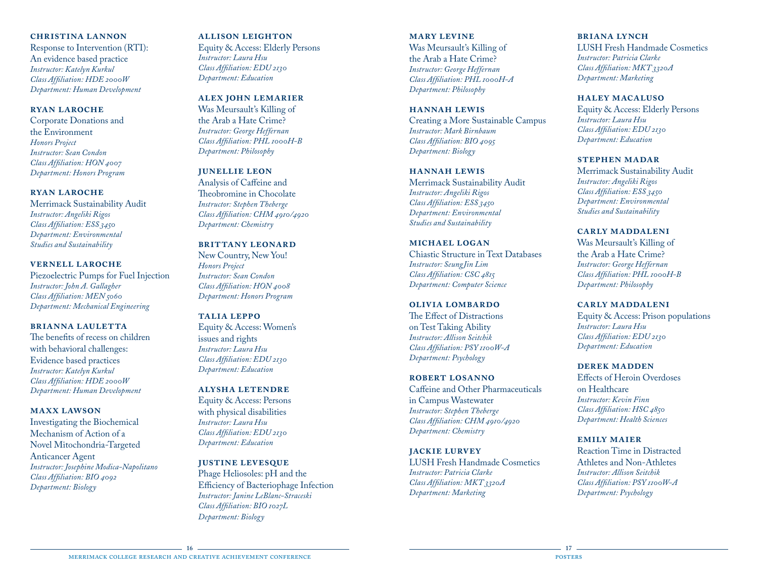## **christina lannon**

Response to Intervention (RTI): An evidence based practice *Instructor: Katelyn Kurkul Class Affiliation: HDE 2000W Department: Human Development*

#### **ryan laroche**

Corporate Donations and the Environment *Honors Project Instructor: Sean Condon Class Affiliation: HON 4007 Department: Honors Program*

## **ryan laroche**

Merrimack Sustainability Audit *Instructor: Angeliki Rigos Class Affiliation: ESS 3450 Department: Environmental Studies and Sustainability*

#### **vernell laroche**

Piezoelectric Pumps for Fuel Injection *Instructor: John A. Gallagher Class Affiliation: MEN 5060 Department: Mechanical Engineering*

#### **brianna lauletta**

The benefits of recess on children with behavioral challenges: Evidence based practices *Instructor: Katelyn Kurkul Class Affiliation: HDE 2000W Department: Human Development* 

#### **maxx lawson**

Investigating the Biochemical Mechanism of Action of a Novel Mitochondria-Targeted Anticancer Agent *Instructor: Josephine Modica-Napolitano Class Affiliation: BIO 4092 Department: Biology*

### **allison leighton**

Equity & Access: Elderly Persons *Instructor: Laura Hsu Class Affiliation: EDU 2130 Department: Education*

## **alex john lemarier**

Was Meursault's Killing of the Arab a Hate Crime? *Instructor: George Heffernan Class Affiliation: PHL 1000H-B Department: Philosophy*

## **junellie leon**

Analysis of Caffeine and Theobromine in Chocolate *Instructor: Stephen Theberge Class Affiliation: CHM 4910/4920 Department: Chemistry*

## **BRITTANY LEONARD**

New Country, New You! *Honors Project Instructor: Sean Condon Class Affiliation: HON 4008 Department: Honors Program*

#### **talia leppo**

Equity & Access: Women's issues and rights *Instructor: Laura Hsu Class Affiliation: EDU 2130 Department: Education*

#### **alysha letendre**

Equity & Access: Persons with physical disabilities *Instructor: Laura Hsu Class Affiliation: EDU 2130 Department: Education*

#### **justine levesque**

Phage Heliosoles: pH and the Efficiency of Bacteriophage Infection *Instructor: Janine LeBlanc-Straceski Class Affiliation: BIO 1027L Department: Biology*

## **mary levine** Was Meursault's Killing of the Arab a Hate Crime? *Instructor: George Heffernan Class Affiliation: PHL 1000H-A Department: Philosophy*

## **hannah lewis**

Creating a More Sustainable Campus *Instructor: Mark Birnbaum Class Affiliation: BIO 4095 Department: Biology*

## **hannah lewis**

Merrimack Sustainability Audit *Instructor: Angeliki Rigos Class Affiliation: ESS 3450 Department: Environmental Studies and Sustainability*

#### **michael logan**

Chiastic Structure in Text Databases *Instructor: SeungJin Lim Class Affiliation: CSC 4815 Department: Computer Science*

#### **olivia lombardo**

The Effect of Distractions on Test Taking Ability *Instructor: Allison Seitchik Class Affiliation: PSY 1100W-A Department: Psychology*

#### **robert losanno**

Caffeine and Other Pharmaceuticals in Campus Wastewater *Instructor: Stephen Theberge Class Affiliation: CHM 4910/4920 Department: Chemistry*

#### **jackie lurvey**

LUSH Fresh Handmade Cosmetics *Instructor: Patricia Clarke Class Affiliation: MKT 3320A Department: Marketing*

## **briana lynch**

LUSH Fresh Handmade Cosmetics *Instructor: Patricia Clarke Class Affiliation: MKT 3320A Department: Marketing*

#### **haley macaluso**

Equity & Access: Elderly Persons *Instructor: Laura Hsu Class Affiliation: EDU 2130 Department: Education*

#### **stephen madar**

Merrimack Sustainability Audit *Instructor: Angeliki Rigos Class Affiliation: ESS 3450 Department: Environmental Studies and Sustainability*

## **carly maddaleni**

Was Meursault's Killing of the Arab a Hate Crime? *Instructor: George Heffernan Class Affiliation: PHL 1000H-B Department: Philosophy*

#### **carly maddaleni**

Equity & Access: Prison populations *Instructor: Laura Hsu Class Affiliation: EDU 2130 Department: Education*

#### **derek madden**

Effects of Heroin Overdoses on Healthcare *Instructor: Kevin Finn Class Affiliation: HSC 4850 Department: Health Sciences*

#### **emily maier**

Reaction Time in Distracted Athletes and Non-Athletes *Instructor: Allison Seitchik Class Affiliation: PSY 1100W-A Department: Psychology*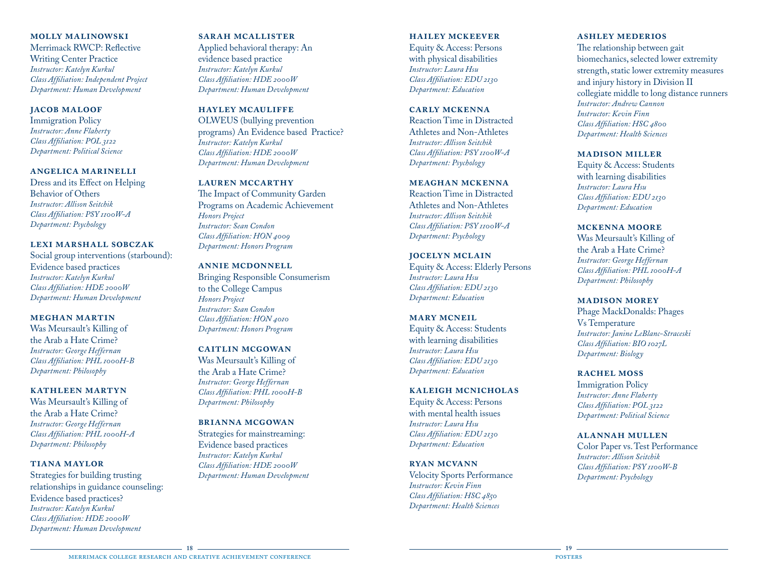#### **molly malinowski**

Merrimack RWCP: Reflective Writing Center Practice *Instructor: Katelyn Kurkul Class Affiliation: Independent Project Department: Human Development*

#### **jacob maloof**

Immigration Policy *Instructor: Anne Flaherty Class Affiliation: POL 3122 Department: Political Science*

## **angelica marinelli**

Dress and its Effect on Helping Behavior of Others *Instructor: Allison Seitchik Class Affiliation: PSY 1100W-A Department: Psychology*

#### **lexi marshall sobczak**

Social group interventions (starbound): Evidence based practices *Instructor: Katelyn Kurkul Class Affiliation: HDE 2000W Department: Human Development*

## **meghan martin**

Was Meursault's Killing of the Arab a Hate Crime? *Instructor: George Heffernan Class Affiliation: PHL 1000H-B Department: Philosophy*

## **kathleen martyn**

Was Meursault's Killing of the Arab a Hate Crime? *Instructor: George Heffernan Class Affiliation: PHL 1000H-A Department: Philosophy*

#### **tiana maylor**

Strategies for building trusting relationships in guidance counseling: Evidence based practices? *Instructor: Katelyn Kurkul Class Affiliation: HDE 2000W Department: Human Development*

### **sarah mcallister**

Applied behavioral therapy: An evidence based practice *Instructor: Katelyn Kurkul Class Affiliation: HDE 2000W Department: Human Development*

## **hayley mcauliffe**

OLWEUS (bullying prevention programs) An Evidence based Practice? *Instructor: Katelyn Kurkul Class Affiliation: HDE 2000W Department: Human Development*

#### **lauren mccarthy**

The Impact of Community Garden Programs on Academic Achievement *Honors Project Instructor: Sean Condon Class Affiliation: HON 4009 Department: Honors Program*

#### **annie mcdonnell**

Bringing Responsible Consumerism to the College Campus *Honors Project Instructor: Sean Condon Class Affiliation: HON 4010 Department: Honors Program*

#### **caitlin mcgowan**

Was Meursault's Killing of the Arab a Hate Crime? *Instructor: George Heffernan Class Affiliation: PHL 1000H-B Department: Philosophy*

## **brianna mcgowan**

Strategies for mainstreaming: Evidence based practices *Instructor: Katelyn Kurkul Class Affiliation: HDE 2000W Department: Human Development*

### **hailey mckeever**

Equity & Access: Persons with physical disabilities *Instructor: Laura Hsu Class Affiliation: EDU 2130 Department: Education*

#### **carly mckenna**

Reaction Time in Distracted Athletes and Non-Athletes *Instructor: Allison Seitchik Class Affiliation: PSY 1100W-A Department: Psychology*

#### **meaghan mckenna**

Reaction Time in Distracted Athletes and Non-Athletes *Instructor: Allison Seitchik Class Affiliation: PSY 1100W-A Department: Psychology*

#### **jocelyn mclain**

Equity & Access: Elderly Persons *Instructor: Laura Hsu Class Affiliation: EDU 2130 Department: Education*

#### **mary mcneil**

Equity & Access: Students with learning disabilities *Instructor: Laura Hsu Class Affiliation: EDU 2130 Department: Education*

#### **kaleigh mcnicholas**

Equity & Access: Persons with mental health issues *Instructor: Laura Hsu Class Affiliation: EDU 2130 Department: Education*

## **ryan mcvann**

Velocity Sports Performance *Instructor: Kevin Finn Class Affiliation: HSC 4850 Department: Health Sciences*

## **ashley mederios**

The relationship between gait biomechanics, selected lower extremity strength, static lower extremity measures and injury history in Division II collegiate middle to long distance runners *Instructor: Andrew Cannon Instructor: Kevin Finn Class Affiliation: HSC 4800 Department: Health Sciences*

#### **madison miller**

Equity & Access: Students with learning disabilities *Instructor: Laura Hsu Class Affiliation: EDU 2130 Department: Education*

## **mckenna moore**

Was Meursault's Killing of the Arab a Hate Crime? *Instructor: George Heffernan Class Affiliation: PHL 1000H-A Department: Philosophy*

## **madison morey**

Phage MackDonalds: Phages Vs Temperature *Instructor: Janine LeBlanc-Straceski Class Affiliation: BIO 1027L Department: Biology*

#### **rachel moss**

Immigration Policy *Instructor: Anne Flaherty Class Affiliation: POL 3122 Department: Political Science*

#### **alannah mullen**

Color Paper vs. Test Performance *Instructor: Allison Seitchik Class Affiliation: PSY 1100W-B Department: Psychology*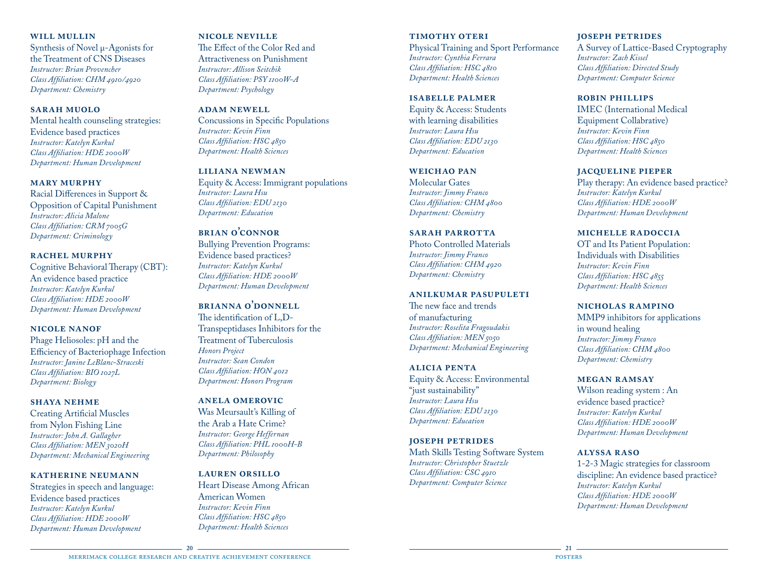## **will mullin**

Synthesis of Novel μ-Agonists for the Treatment of CNS Diseases *Instructor: Brian Provencher Class Affiliation: CHM 4910/4920 Department: Chemistry*

#### **sarah muolo**

Mental health counseling strategies: Evidence based practices *Instructor: Katelyn Kurkul Class Affiliation: HDE 2000W Department: Human Development*

## **mary murphy**

Racial Differences in Support & Opposition of Capital Punishment *Instructor: Alicia Malone Class Affiliation: CRM 7005G Department: Criminology*

#### **rachel murphy**

Cognitive Behavioral Therapy (CBT): An evidence based practice *Instructor: Katelyn Kurkul Class Affiliation: HDE 2000W Department: Human Development*

#### **nicole nanof**

Phage Heliosoles: pH and the Efficiency of Bacteriophage Infection *Instructor: Janine LeBlanc-Straceski Class Affiliation: BIO 1027L Department: Biology* 

## **shaya nehme**

Creating Artificial Muscles from Nylon Fishing Line *Instructor: John A. Gallagher Class Affiliation: MEN 3020H Department: Mechanical Engineering*

## **katherine neumann**

Strategies in speech and language: Evidence based practices *Instructor: Katelyn Kurkul Class Affiliation: HDE 2000W Department: Human Development*

## **nicole neville**

The Effect of the Color Red and Attractiveness on Punishment *Instructor: Allison Seitchik Class Affiliation: PSY 1100W-A Department: Psychology*

**adam newell** Concussions in Specific Populations *Instructor: Kevin Finn Class Affiliation: HSC 4850 Department: Health Sciences*

## **liliana newman**

Equity & Access: Immigrant populations *Instructor: Laura Hsu Class Affiliation: EDU 2130 Department: Education*

**brian o'connor** Bullying Prevention Programs: Evidence based practices? *Instructor: Katelyn Kurkul Class Affiliation: HDE 2000W Department: Human Development*

**brianna o'donnell** The identification of L,D-Transpeptidases Inhibitors for the Treatment of Tuberculosis *Honors Project Instructor: Sean Condon Class Affiliation: HON 4012 Department: Honors Program*

#### **anela omerovic**

Was Meursault's Killing of the Arab a Hate Crime? *Instructor: George Heffernan Class Affiliation: PHL 1000H-B Department: Philosophy*

## **lauren orsillo**

Heart Disease Among African American Women *Instructor: Kevin Finn Class Affiliation: HSC 4850 Department: Health Sciences*

#### **timothy oteri**

Physical Training and Sport Performance *Instructor: Cynthia Ferrara Class Affiliation: HSC 4810 Department: Health Sciences*

#### **isabelle palmer**

Equity & Access: Students with learning disabilities *Instructor: Laura Hsu Class Affiliation: EDU 2130 Department: Education*

## **weichao pan**

Molecular Gates *Instructor: Jimmy Franco Class Affiliation: CHM 4800 Department: Chemistry*

**sarah parrotta** Photo Controlled Materials *Instructor: Jimmy Franco Class Affiliation: CHM 4920 Department: Chemistry*

## **anilkumar pasupuleti**

The new face and trends of manufacturing *Instructor: Roselita Fragoudakis Class Affiliation: MEN 5050 Department: Mechanical Engineering*

## **alicia penta**

Equity & Access: Environmental "just sustainability" *Instructor: Laura Hsu Class Affiliation: EDU 2130 Department: Education*

#### **joseph petrides**

Math Skills Testing Software System *Instructor: Christopher Stuetzle Class Affiliation: CSC 4910 Department: Computer Science*

## **joseph petrides**

A Survey of Lattice-Based Cryptography *Instructor: Zach Kissel Class Affiliation: Directed Study Department: Computer Science*

#### **robin phillips**

IMEC (International Medical Equipment Collabrative) *Instructor: Kevin Finn Class Affiliation: HSC 4850 Department: Health Sciences*

#### **jacqueline pieper**

Play therapy: An evidence based practice? *Instructor: Katelyn Kurkul Class Affiliation: HDE 2000W Department: Human Development*

#### **michelle radoccia**

OT and Its Patient Population: Individuals with Disabilities *Instructor: Kevin Finn Class Affiliation: HSC 4855 Department: Health Sciences*

#### **nicholas rampino**

MMP9 inhibitors for applications in wound healing *Instructor: Jimmy Franco Class Affiliation: CHM 4800 Department: Chemistry*

#### **megan ramsay**

Wilson reading system : An evidence based practice? *Instructor: Katelyn Kurkul Class Affiliation: HDE 2000W Department: Human Development*

## **alyssa raso**

1-2-3 Magic strategies for classroom discipline: An evidence based practice? *Instructor: Katelyn Kurkul Class Affiliation: HDE 2000W Department: Human Development*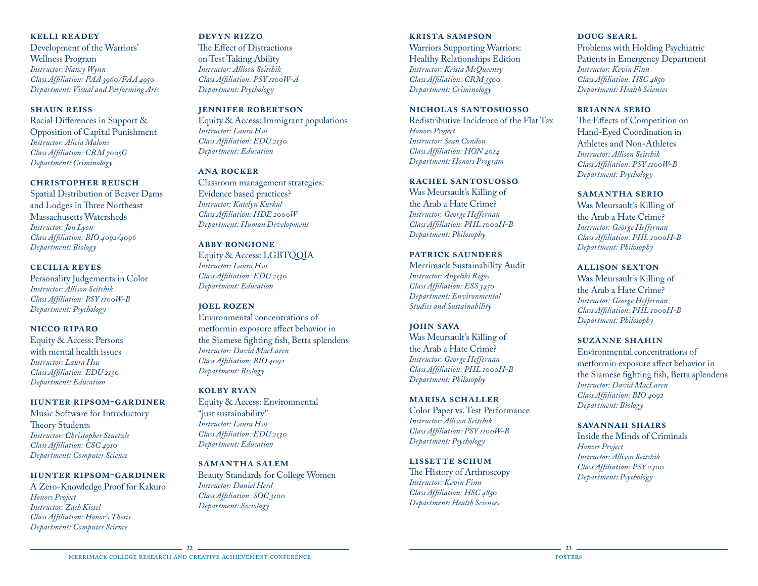## **kelli readey**

Development of the Warriors' Wellness Program *Instructor: Nancy Wynn Class Affiliation: FAA 3960/FAA 4950 Department: Visual and Performing Arts*

## **shaun reiss**

Racial Differences in Support & Opposition of Capital Punishment *Instructor: Alicia Malone Class Affiliation: CRM 7005G Department: Criminology*

## **christopher reusch**

Spatial Distribution of Beaver Dams and Lodges in Three Northeast Massachusetts Watersheds *Instructor: Jon Lyon Class Affiliation: BIO 4092/4096 Department: Biology*

#### **cecilia reyes**

Personality Judgements in Color *Instructor: Allison Seitchik Class Affiliation: PSY 1100W-B Department: Psychology*

## **nicco riparo**

Equity & Access: Persons with mental health issues *Instructor: Laura Hsu Class Affiliation: EDU 2130 Department: Education*

#### **hunter ripsom-gardiner**

Music Software for Introductory Theory Students *Instructor: Christopher Stuetzle Class Affiliation: CSC 4910 Department: Computer Science*

#### **hunter ripsom-gardiner**

A Zero-Knowledge Proof for Kakuro *Honors Project Instructor: Zach Kissel Class Affiliation: Honor's Thesis Department: Computer Science*

### **devyn rizzo**

The Effect of Distractions on Test Taking Ability *Instructor: Allison Seitchik Class Affiliation: PSY 1100W-A Department: Psychology*

## **jennifer robertson**

Equity & Access: Immigrant populations *Instructor: Laura Hsu Class Affiliation: EDU 2130 Department: Education*

## **ana rocker**

Classroom management strategies: Evidence based practices? *Instructor: Katelyn Kurkul Class Affiliation: HDE 2000W Department: Human Development*

## **abby rongione**

Equity & Access: LGBTQQIA *Instructor: Laura Hsu Class Affiliation: EDU 2130 Department: Education*

#### **joel rozen**

Environmental concentrations of metformin exposure affect behavior in the Siamese fighting fish, Betta splendens *Instructor: David MacLaren Class Affiliation: BIO 4092 Department: Biology*

## **kolby ryan**

Equity & Access: Environmental "just sustainability" *Instructor: Laura Hsu Class Affiliation: EDU 2130 Department: Education*

#### **samantha salem**

Beauty Standards for College Women *Instructor: Daniel Herd Class Affiliation: SOC 3100 Department: Sociology*

#### **krista sampson**

Warriors Supporting Warriors: Healthy Relationships Edition *Instructor: Krista McQueeney Class Affiliation: CRM 3500 Department: Criminology*

## **nicholas santosuosso**

Redistributive Incidence of the Flat Tax *Honors Project Instructor: Sean Condon Class Affiliation: HON 4014 Department: Honors Program*

#### **rachel santosuosso**

Was Meursault's Killing of the Arab a Hate Crime? *Instructor: George Heffernan Class Affiliation: PHL 1000H-B Department: Philosophy*

#### **patrick saunders**

Merrimack Sustainability Audit *Instructor: Angeliki Rigos Class Affiliation: ESS 3450 Department: Environmental Studies and Sustainability*

#### **john sava**

Was Meursault's Killing of the Arab a Hate Crime? *Instructor: George Heffernan Class Affiliation: PHL 1000H-B Department: Philosophy*

#### **marisa schaller**

Color Paper vs. Test Performance *Instructor: Allison Seitchik Class Affiliation: PSY 1100W-B Department: Psychology*

#### **lissette schum**

The History of Arthroscopy *Instructor: Kevin Finn Class Affiliation: HSC 4850 Department: Health Sciences*

## **DOUG SEARL**

Problems with Holding Psychiatric Patients in Emergency Department *Instructor: Kevin Finn Class Affiliation: HSC 4850 Department: Health Sciences*

#### **brianna sebio**

The Effects of Competition on Hand-Eyed Coordination in Athletes and Non-Athletes *Instructor: Allison Seitchik Class Affiliation: PSY 1100W-B Department: Psychology*

#### **samantha serio**

Was Meursault's Killing of the Arab a Hate Crime? *Instructor: George Heffernan Class Affiliation: PHL 1000H-B Department: Philosophy*

#### **allison sexton**

Was Meursault's Killing of the Arab a Hate Crime? *Instructor: George Heffernan Class Affiliation: PHL 1000H-B Department: Philosophy*

#### **suzanne shahin**

Environmental concentrations of metformin exposure affect behavior in the Siamese fighting fish, Betta splendens *Instructor: David MacLaren Class Affiliation: BIO 4092 Department: Biology*

#### **savannah shairs**

Inside the Minds of Criminals *Honors Project Instructor: Allison Seitchik Class Affiliation: PSY 2400 Department: Psychology*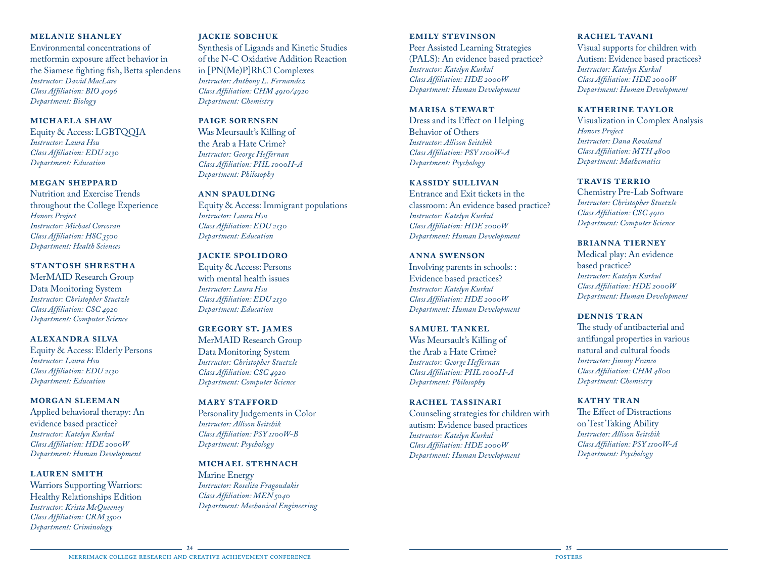## **melanie shanley**

Environmental concentrations of metformin exposure affect behavior in the Siamese fighting fish, Betta splendens *Instructor: David MacLare Class Affiliation: BIO 4096 Department: Biology*

## **michaela shaw**

Equity & Access: LGBTQQIA *Instructor: Laura Hsu Class Affiliation: EDU 2130 Department: Education*

#### **megan sheppard**

Nutrition and Exercise Trends throughout the College Experience *Honors Project Instructor: Michael Corcoran Class Affiliation: HSC 3500 Department: Health Sciences*

#### **stantosh shrestha**

MerMAID Research Group Data Monitoring System *Instructor: Christopher Stuetzle Class Affiliation: CSC 4920 Department: Computer Science*

#### **alexandra silva**

Equity & Access: Elderly Persons *Instructor: Laura Hsu Class Affiliation: EDU 2130 Department: Education*

#### **morgan sleeman**

Applied behavioral therapy: An evidence based practice? *Instructor: Katelyn Kurkul Class Affiliation: HDE 2000W Department: Human Development*

#### **lauren smith**

Warriors Supporting Warriors: Healthy Relationships Edition *Instructor: Krista McQueeney Class Affiliation: CRM 3500 Department: Criminology*

#### **jackie sobchuk**

Synthesis of Ligands and Kinetic Studies of the N-C Oxidative Addition Reaction in [PN(Me)P]RhCl Complexes *Instructor: Anthony L. Fernandez Class Affiliation: CHM 4910/4920 Department: Chemistry*

## **paige sorensen**

Was Meursault's Killing of the Arab a Hate Crime? *Instructor: George Heffernan Class Affiliation: PHL 1000H-A Department: Philosophy*

#### **ann spaulding**

Equity & Access: Immigrant populations *Instructor: Laura Hsu Class Affiliation: EDU 2130 Department: Education*

#### **jackie spolidoro**

Equity & Access: Persons with mental health issues *Instructor: Laura Hsu Class Affiliation: EDU 2130 Department: Education*

## **gregory st. james**

MerMAID Research Group Data Monitoring System *Instructor: Christopher Stuetzle Class Affiliation: CSC 4920 Department: Computer Science*

#### **MARY STAFFORD**

Personality Judgements in Color *Instructor: Allison Seitchik Class Affiliation: PSY 1100W-B Department: Psychology*

## **michael stehnach**

Marine Energy *Instructor: Roselita Fragoudakis Class Affiliation: MEN 5040 Department: Mechanical Engineering*

#### **emily stevinson**

Peer Assisted Learning Strategies (PALS): An evidence based practice? *Instructor: Katelyn Kurkul Class Affiliation: HDE 2000W Department: Human Development*

#### **marisa stewart**

Dress and its Effect on Helping Behavior of Others *Instructor: Allison Seitchik Class Affiliation: PSY 1100W-A Department: Psychology*

#### **kassidy sullivan**

Entrance and Exit tickets in the classroom: An evidence based practice? *Instructor: Katelyn Kurkul Class Affiliation: HDE 2000W Department: Human Development*

#### **anna swenson**

Involving parents in schools: : Evidence based practices? *Instructor: Katelyn Kurkul Class Affiliation: HDE 2000W Department: Human Development*

#### **samuel tankel**

Was Meursault's Killing of the Arab a Hate Crime? *Instructor: George Heffernan Class Affiliation: PHL 1000H-A Department: Philosophy*

#### **rachel tassinari**

Counseling strategies for children with autism: Evidence based practices *Instructor: Katelyn Kurkul Class Affiliation: HDE 2000W Department: Human Development*

#### **rachel tavani**

Visual supports for children with Autism: Evidence based practices? *Instructor: Katelyn Kurkul Class Affiliation: HDE 2000W Department: Human Development*

#### **katherine taylor**

Visualization in Complex Analysis *Honors Project Instructor: Dana Rowland Class Affiliation: MTH 4800 Department: Mathematics*

#### **travis terrio**

Chemistry Pre-Lab Software *Instructor: Christopher Stuetzle Class Affiliation: CSC 4910 Department: Computer Science*

#### **brianna tierney**

Medical play: An evidence based practice? *Instructor: Katelyn Kurkul Class Affiliation: HDE 2000W Department: Human Development*

#### **dennis tran**

The study of antibacterial and antifungal properties in various natural and cultural foods *Instructor: Jimmy Franco Class Affiliation: CHM 4800 Department: Chemistry*

## **kathy tran**

The Effect of Distractions on Test Taking Ability *Instructor: Allison Seitchik Class Affiliation: PSY 1100W-A Department: Psychology*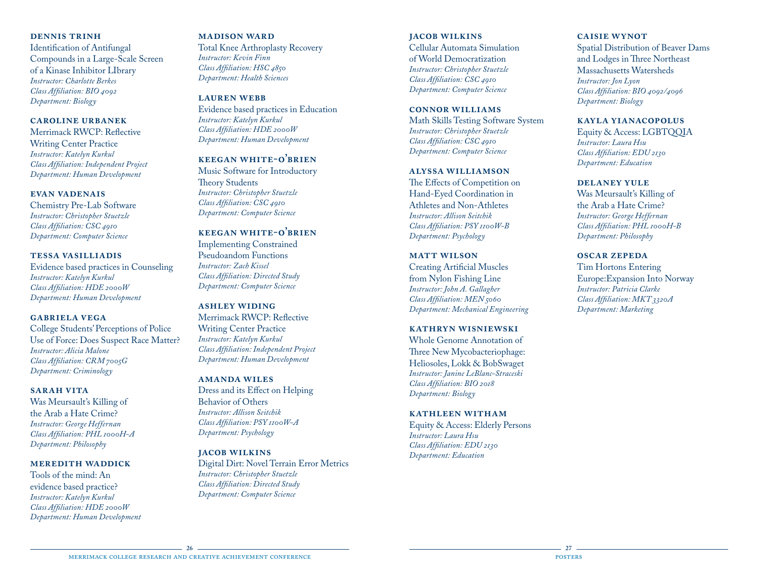## **dennis trinh**

Identification of Antifungal Compounds in a Large-Scale Screen of a Kinase Inhibitor LIbrary *Instructor: Charlotte Berkes Class Affiliation: BIO 4092 Department: Biology*

## **caroline urbanek**

Merrimack RWCP: Reflective Writing Center Practice *Instructor: Katelyn Kurkul Class Affiliation: Independent Project Department: Human Development*

#### **evan vadenais**

Chemistry Pre-Lab Software *Instructor: Christopher Stuetzle Class Affiliation: CSC 4910 Department: Computer Science*

#### **tessa vasilliadis**

Evidence based practices in Counseling *Instructor: Katelyn Kurkul Class Affiliation: HDE 2000W Department: Human Development*

## **gabriela vega**

College Students' Perceptions of Police Use of Force: Does Suspect Race Matter? *Instructor: Alicia Malone Class Affiliation: CRM 7005G Department: Criminology*

#### **sarah vita**

Was Meursault's Killing of the Arab a Hate Crime? *Instructor: George Heffernan Class Affiliation: PHL 1000H-A Department: Philosophy*

#### **meredith waddick**

Tools of the mind: An evidence based practice? *Instructor: Katelyn Kurkul Class Affiliation: HDE 2000W Department: Human Development*

#### **madison ward**

Total Knee Arthroplasty Recovery *Instructor: Kevin Finn Class Affiliation: HSC 4850 Department: Health Sciences*

**lauren webb** Evidence based practices in Education *Instructor: Katelyn Kurkul Class Affiliation: HDE 2000W Department: Human Development*

## **keegan white-o'brien**

Music Software for Introductory Theory Students *Instructor: Christopher Stuetzle Class Affiliation: CSC 4910 Department: Computer Science*

## **keegan white-o'brien**

Implementing Constrained Pseudoandom Functions *Instructor: Zach Kissel Class Affiliation: Directed Study Department: Computer Science*

#### **ashley widing**

Merrimack RWCP: Reflective Writing Center Practice *Instructor: Katelyn Kurkul Class Affiliation: Independent Project Department: Human Development*

#### **amanda wiles**

Dress and its Effect on Helping Behavior of Others *Instructor: Allison Seitchik Class Affiliation: PSY 1100W-A Department: Psychology*

#### **jacob wilkins**

Digital Dirt: Novel Terrain Error Metrics *Instructor: Christopher Stuetzle Class Affiliation: Directed Study Department: Computer Science*

## **jacob wilkins** Cellular Automata Simulation of World Democratization *Instructor: Christopher Stuetzle*

*Class Affiliation: CSC 4910 Department: Computer Science*

#### **connor williams** Math Skills Testing Software System

*Instructor: Christopher Stuetzle Class Affiliation: CSC 4910 Department: Computer Science*

## **alyssa williamson**

The Effects of Competition on Hand-Eyed Coordination in Athletes and Non-Athletes *Instructor: Allison Seitchik Class Affiliation: PSY 1100W-B Department: Psychology*

#### **matt wilson**

Creating Artificial Muscles from Nylon Fishing Line *Instructor: John A. Gallagher Class Affiliation: MEN 5060 Department: Mechanical Engineering*

#### **kathryn wisniewski**

Whole Genome Annotation of Three New Mycobacteriophage: Heliosoles, Lokk & BobSwaget *Instructor: Janine LeBlanc-Straceski Class Affiliation: BIO 2018 Department: Biology*

#### **kathleen witham**

Equity & Access: Elderly Persons *Instructor: Laura Hsu Class Affiliation: EDU 2130 Department: Education*

## **caisie wynot**

Spatial Distribution of Beaver Dams and Lodges in Three Northeast Massachusetts Watersheds *Instructor: Jon Lyon Class Affiliation: BIO 4092/4096 Department: Biology*

### **kayla yianacopolus**

Equity & Access: LGBTQQIA *Instructor: Laura Hsu Class Affiliation: EDU 2130 Department: Education*

## **delaney yule**

Was Meursault's Killing of the Arab a Hate Crime? *Instructor: George Heffernan Class Affiliation: PHL 1000H-B Department: Philosophy*

## **oscar zepeda**

Tim Hortons Entering Europe:Expansion Into Norway *Instructor: Patricia Clarke Class Affiliation: MKT 3320A Department: Marketing*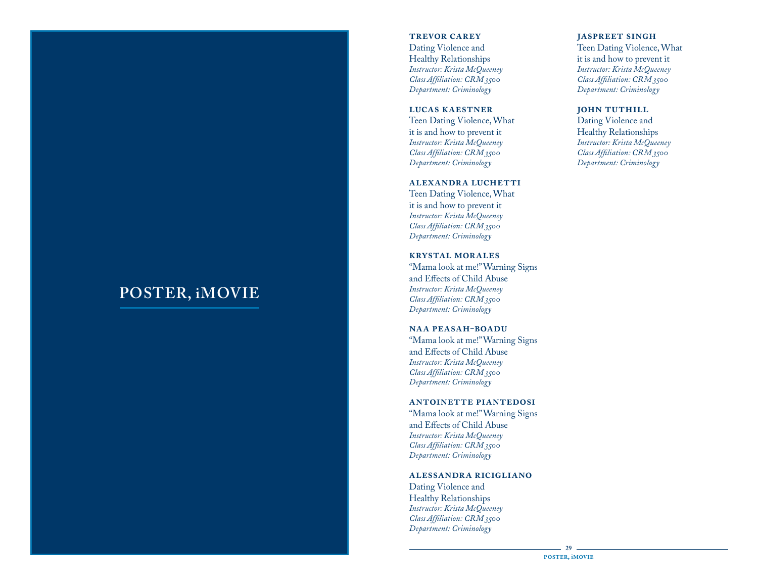## **POSTER, iMOVIE**

#### **trevor carey**

Dating Violence and Healthy Relationships *Instructor: Krista McQueeney Class Affiliation: CRM 3500 Department: Criminology*

#### **lucas kaestner**

Teen Dating Violence, What it is and how to prevent it *Instructor: Krista McQueeney Class Affiliation: CRM 3500 Department: Criminology*

## **alexandra luchetti**

Teen Dating Violence, What it is and how to prevent it *Instructor: Krista McQueeney Class Affiliation: CRM 3500 Department: Criminology*

#### **krystal morales**

"Mama look at me!" Warning Signs and Effects of Child Abuse *Instructor: Krista McQueeney Class Affiliation: CRM 3500 Department: Criminology*

#### **naa peasah-boadu**

"Mama look at me!" Warning Signs and Effects of Child Abuse *Instructor: Krista McQueeney Class Affiliation: CRM 3500 Department: Criminology*

#### **antoinette piantedosi**

"Mama look at me!" Warning Signs and Effects of Child Abuse *Instructor: Krista McQueeney Class Affiliation: CRM 3500 Department: Criminology*

## **alessandra ricigliano**

Dating Violence and Healthy Relationships *Instructor: Krista McQueeney Class Affiliation: CRM 3500 Department: Criminology*

#### **jaspreet singh**

Teen Dating Violence, What it is and how to prevent it *Instructor: Krista McQueeney Class Affiliation: CRM 3500 Department: Criminology*

#### **JOHN TUTHILL**

Dating Violence and Healthy Relationships *Instructor: Krista McQueeney Class Affiliation: CRM 3500 Department: Criminology*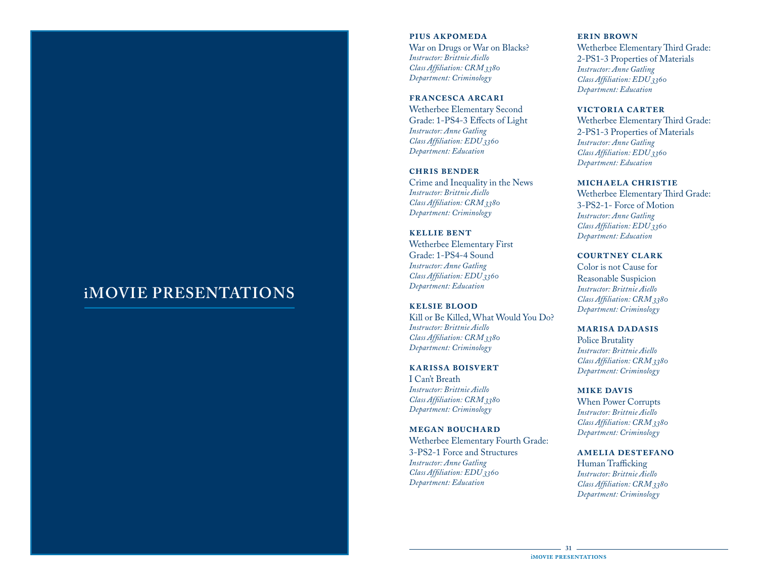## **iMOVIE PRESENTATIONS**

**pius akpomeda** War on Drugs or War on Blacks? *Instructor: Brittnie Aiello Class Affiliation: CRM 3380 Department: Criminology*

**francesca arcari** Wetherbee Elementary Second Grade: 1-PS4-3 Effects of Light *Instructor: Anne Gatling Class Affiliation: EDU 3360 Department: Education*

**chris bender** Crime and Inequality in the News *Instructor: Brittnie Aiello Class Affiliation: CRM 3380 Department: Criminology*

**kellie bent** Wetherbee Elementary First Grade: 1-PS4-4 Sound *Instructor: Anne Gatling Class Affiliation: EDU 3360 Department: Education*

**kelsie blood** Kill or Be Killed, What Would You Do? *Instructor: Brittnie Aiello Class Affiliation: CRM 3380 Department: Criminology*

**karissa boisvert**

I Can't Breath *Instructor: Brittnie Aiello Class Affiliation: CRM 3380 Department: Criminology*

**megan bouchard** Wetherbee Elementary Fourth Grade: 3-PS2-1 Force and Structures *Instructor: Anne Gatling Class Affiliation: EDU 3360 Department: Education*

**erin brown** Wetherbee Elementary Third Grade:

2-PS1-3 Properties of Materials *Instructor: Anne Gatling Class Affiliation: EDU 3360 Department: Education*

**victoria carter**

Wetherbee Elementary Third Grade: 2-PS1-3 Properties of Materials *Instructor: Anne Gatling Class Affiliation: EDU 3360 Department: Education*

#### **michaela christie**

Wetherbee Elementary Third Grade: 3-PS2-1- Force of Motion *Instructor: Anne Gatling Class Affiliation: EDU 3360 Department: Education*

**courtney clark**

Color is not Cause for Reasonable Suspicion *Instructor: Brittnie Aiello Class Affiliation: CRM 3380 Department: Criminology*

#### **marisa dadasis**

Police Brutality *Instructor: Brittnie Aiello Class Affiliation: CRM 3380 Department: Criminology*

**mike davis**

When Power Corrupts *Instructor: Brittnie Aiello Class Affiliation: CRM 3380 Department: Criminology*

**amelia destefano**

Human Trafficking *Instructor: Brittnie Aiello Class Affiliation: CRM 3380 Department: Criminology*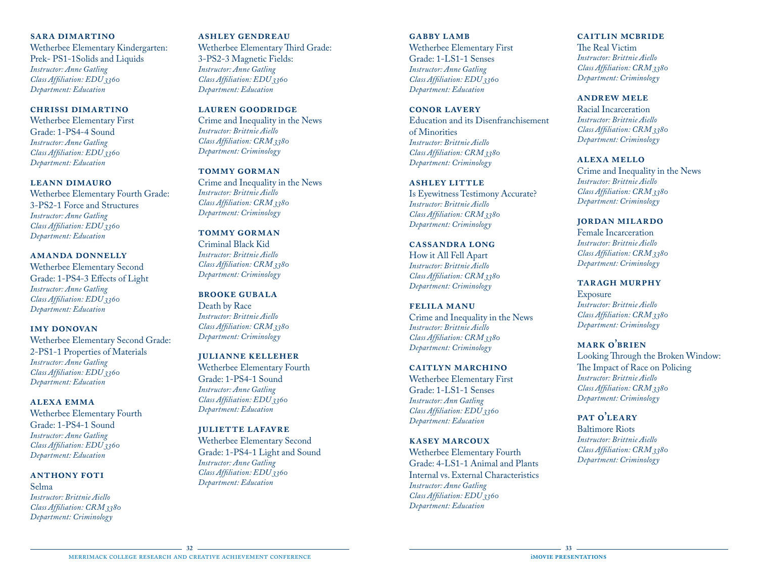#### **sara dimartino**

Wetherbee Elementary Kindergarten: Prek- PS1-1Solids and Liquids *Instructor: Anne Gatling Class Affiliation: EDU 3360 Department: Education*

## **chrissi dimartino**

Wetherbee Elementary First Grade: 1-PS4-4 Sound *Instructor: Anne Gatling Class Affiliation: EDU 3360 Department: Education*

## **leann dimauro**

Wetherbee Elementary Fourth Grade: 3-PS2-1 Force and Structures *Instructor: Anne Gatling Class Affiliation: EDU 3360 Department: Education*

## **amanda donnelly**

Wetherbee Elementary Second Grade: 1-PS4-3 Effects of Light *Instructor: Anne Gatling Class Affiliation: EDU 3360 Department: Education*

## **imy donovan**

Wetherbee Elementary Second Grade: 2-PS1-1 Properties of Materials *Instructor: Anne Gatling Class Affiliation: EDU 3360 Department: Education*

## **alexa emma**

Wetherbee Elementary Fourth Grade: 1-PS4-1 Sound *Instructor: Anne Gatling Class Affiliation: EDU 3360 Department: Education*

## **anthony foti**

Selma *Instructor: Brittnie Aiello Class Affiliation: CRM 3380 Department: Criminology*

## **ashley gendreau**

Wetherbee Elementary Third Grade: 3-PS2-3 Magnetic Fields: *Instructor: Anne Gatling Class Affiliation: EDU 3360 Department: Education*

## **lauren goodridge**

Crime and Inequality in the News *Instructor: Brittnie Aiello Class Affiliation: CRM 3380 Department: Criminology*

## **tommy gorman**

Crime and Inequality in the News *Instructor: Brittnie Aiello Class Affiliation: CRM 3380 Department: Criminology*

## **tommy gorman**

Criminal Black Kid *Instructor: Brittnie Aiello Class Affiliation: CRM 3380 Department: Criminology*

## **brooke gubala** Death by Race *Instructor: Brittnie Aiello Class Affiliation: CRM 3380*

*Department: Criminology*

**julianne kelleher** Wetherbee Elementary Fourth Grade: 1-PS4-1 Sound *Instructor: Anne Gatling Class Affiliation: EDU 3360 Department: Education*

## **juliette lafavre** Wetherbee Elementary Second Grade: 1-PS4-1 Light and Sound *Instructor: Anne Gatling Class Affiliation: EDU 3360 Department: Education*

**gabby lamb** Wetherbee Elementary First Grade: 1-LS1-1 Senses *Instructor: Anne Gatling Class Affiliation: EDU 3360 Department: Education*

#### **conor lavery**

Education and its Disenfranchisement of Minorities *Instructor: Brittnie Aiello Class Affiliation: CRM 3380 Department: Criminology*

#### **ashley little**

Is Eyewitness Testimony Accurate? *Instructor: Brittnie Aiello Class Affiliation: CRM 3380 Department: Criminology*

#### **cassandra long**

How it All Fell Apart *Instructor: Brittnie Aiello Class Affiliation: CRM 3380 Department: Criminology*

## **felila manu**

Crime and Inequality in the News *Instructor: Brittnie Aiello Class Affiliation: CRM 3380 Department: Criminology*

## **caitlyn marchino**

Wetherbee Elementary First Grade: 1-LS1-1 Senses *Instructor: Ann Gatling Class Affiliation: EDU 3360 Department: Education*

## **kasey marcoux**

Wetherbee Elementary Fourth Grade: 4-LS1-1 Animal and Plants Internal vs. External Characteristics *Instructor: Anne Gatling Class Affiliation: EDU 3360 Department: Education*

## **caitlin mcbride**

The Real Victim *Instructor: Brittnie Aiello Class Affiliation: CRM 3380 Department: Criminology*

## **andrew mele**

Racial Incarceration *Instructor: Brittnie Aiello Class Affiliation: CRM 3380 Department: Criminology*

## **alexa mello**

Crime and Inequality in the News *Instructor: Brittnie Aiello Class Affiliation: CRM 3380 Department: Criminology*

## **jordan milardo**

Female Incarceration *Instructor: Brittnie Aiello Class Affiliation: CRM 3380 Department: Criminology*

## **taragh murphy**

**Exposure** *Instructor: Brittnie Aiello Class Affiliation: CRM 3380 Department: Criminology*

## **mark o'brien**

Looking Through the Broken Window: The Impact of Race on Policing *Instructor: Brittnie Aiello Class Affiliation: CRM 3380 Department: Criminology*

## **pat o'leary**

Baltimore Riots *Instructor: Brittnie Aiello Class Affiliation: CRM 3380 Department: Criminology*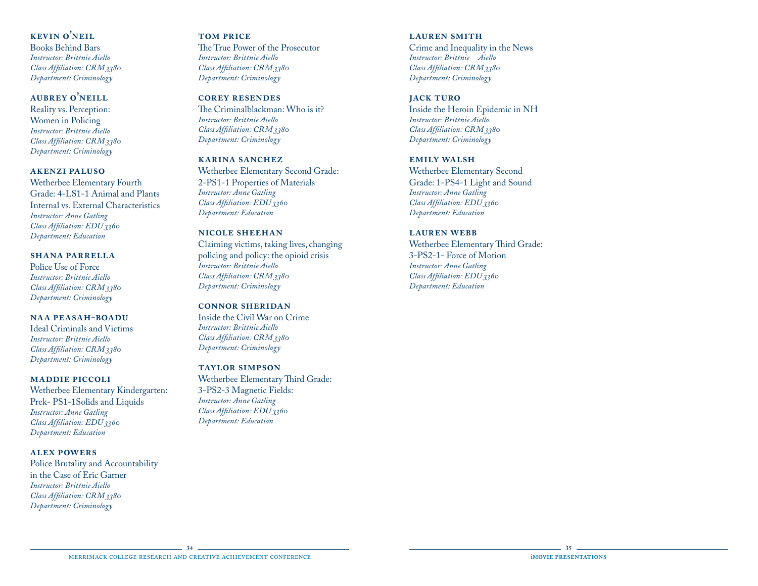## **kevin o'neil**

Books Behind Bars *Instructor: Brittnie Aiello Class Affiliation: CRM 3380 Department: Criminology*

## **aubrey o'neill**

Reality vs. Perception: Women in Policing *Instructor: Brittnie Aiello Class Affiliation: CRM 3380 Department: Criminology*

## **akenzi paluso**

Wetherbee Elementary Fourth Grade: 4-LS1-1 Animal and Plants Internal vs. External Characteristics *Instructor: Anne Gatling Class Affiliation: EDU 3360 Department: Education*

#### **shana parrella**

Police Use of Force *Instructor: Brittnie Aiello Class Affiliation: CRM 3380 Department: Criminology*

## **naa peasah-boadu**

Ideal Criminals and Victims *Instructor: Brittnie Aiello Class Affiliation: CRM 3380 Department: Criminology*

#### **maddie piccoli**

Wetherbee Elementary Kindergarten: Prek- PS1-1Solids and Liquids *Instructor: Anne Gatling Class Affiliation: EDU 3360 Department: Education*

## **alex powers**

Police Brutality and Accountability in the Case of Eric Garner *Instructor: Brittnie Aiello Class Affiliation: CRM 3380 Department: Criminology*

#### **tom price**

The True Power of the Prosecutor *Instructor: Brittnie Aiello Class Affiliation: CRM 3380 Department: Criminology*

## **corey resendes**

The Criminalblackman: Who is it? *Instructor: Brittnie Aiello Class Affiliation: CRM 3380 Department: Criminology*

## **karina sanchez**

Wetherbee Elementary Second Grade: 2-PS1-1 Properties of Materials *Instructor: Anne Gatling Class Affiliation: EDU 3360 Department: Education*

## **nicole sheehan**

Claiming victims, taking lives, changing policing and policy: the opioid crisis *Instructor: Brittnie Aiello Class Affiliation: CRM 3380 Department: Criminology*

## **connor sheridan**

Inside the Civil War on Crime *Instructor: Brittnie Aiello Class Affiliation: CRM 3380 Department: Criminology*

## **taylor simpson**

Wetherbee Elementary Third Grade: 3-PS2-3 Magnetic Fields: *Instructor: Anne Gatling Class Affiliation: EDU 3360 Department: Education*

## **lauren smith**

Crime and Inequality in the News *Instructor: Brittnie Aiello Class Affiliation: CRM 3380 Department: Criminology*

## **jack turo**

Inside the Heroin Epidemic in NH *Instructor: Brittnie Aiello Class Affiliation: CRM 3380 Department: Criminology*

## **emily walsh**

Wetherbee Elementary Second Grade: 1-PS4-1 Light and Sound *Instructor: Anne Gatling Class Affiliation: EDU 3360 Department: Education*

## **lauren webb**

Wetherbee Elementary Third Grade: 3-PS2-1- Force of Motion *Instructor: Anne Gatling Class Affiliation: EDU 3360 Department: Education*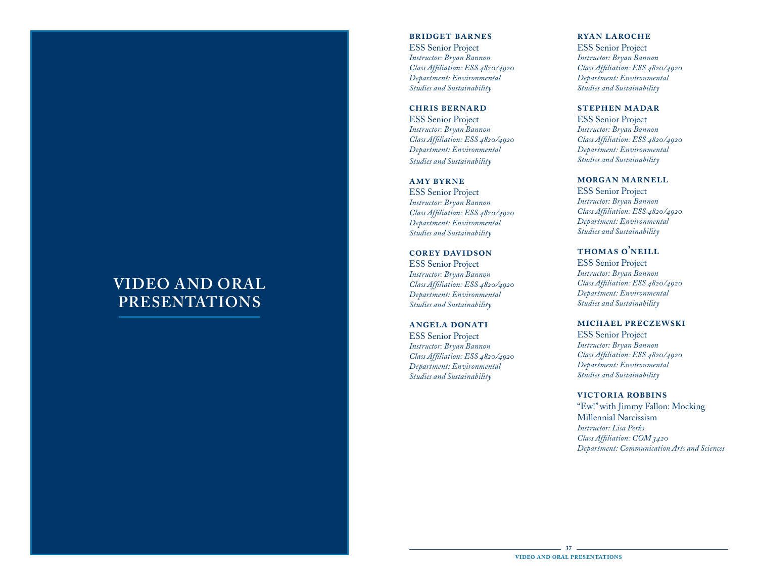## **VIDEO AND ORAL PRESENTATIONS**

#### **bridget barnes**

ESS Senior Project *Instructor: Bryan Bannon Class Affiliation: ESS 4820/4920 Department: Environmental Studies and Sustainability*

#### **chris bernard**

ESS Senior Project *Instructor: Bryan Bannon Class Affiliation: ESS 4820/4920 Department: Environmental Studies and Sustainability*

#### **amy byrne**

ESS Senior Project *Instructor: Bryan Bannon Class Affiliation: ESS 4820/4920 Department: Environmental Studies and Sustainability*

#### **corey davidson**

ESS Senior Project *Instructor: Bryan Bannon Class Affiliation: ESS 4820/4920 Department: Environmental Studies and Sustainability*

#### **angela donati**

ESS Senior Project *Instructor: Bryan Bannon Class Affiliation: ESS 4820/4920 Department: Environmental Studies and Sustainability*

#### **ryan laroche**

ESS Senior Project *Instructor: Bryan Bannon Class Affiliation: ESS 4820/4920 Department: Environmental Studies and Sustainability*

#### **stephen madar**

ESS Senior Project *Instructor: Bryan Bannon Class Affiliation: ESS 4820/4920 Department: Environmental Studies and Sustainability*

#### **morgan marnell**

ESS Senior Project *Instructor: Bryan Bannon Class Affiliation: ESS 4820/4920 Department: Environmental Studies and Sustainability*

## **thomas o'neill**

ESS Senior Project *Instructor: Bryan Bannon Class Affiliation: ESS 4820/4920 Department: Environmental Studies and Sustainability*

#### **michael preczewski**

ESS Senior Project *Instructor: Bryan Bannon Class Affiliation: ESS 4820/4920 Department: Environmental Studies and Sustainability*

#### **victoria robbins**

"Ew!" with Jimmy Fallon: Mocking Millennial Narcissism *Instructor: Lisa Perks Class Affiliation: COM 3420 Department: Communication Arts and Sciences*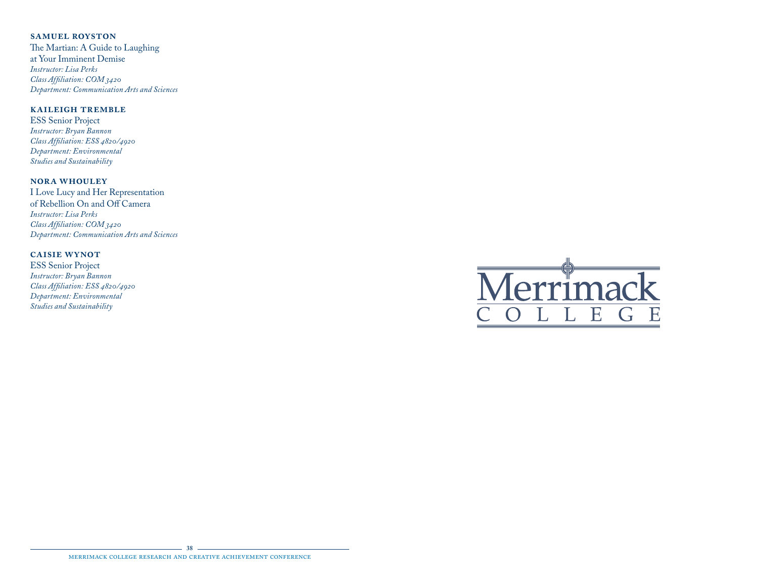## **samuel royston**

The Martian: A Guide to Laughing at Your Imminent Demise *Instructor: Lisa Perks Class Affiliation: COM 3420 Department: Communication Arts and Sciences*

## **kaileigh tremble**

ESS Senior Project *Instructor: Bryan Bannon Class Affiliation: ESS 4820/4920 Department: Environmental Studies and Sustainability*

## **nora whouley**

I Love Lucy and Her Representation of Rebellion On and Off Camera *Instructor: Lisa Perks Class Affiliation: COM 3420 Department: Communication Arts and Sciences*

## **caisie wynot**

ESS Senior Project *Instructor: Bryan Bannon Class Affiliation: ESS 4820/4920 Department: Environmental Studies and Sustainability*



#### **38** merrimack college research and creative achievement conference